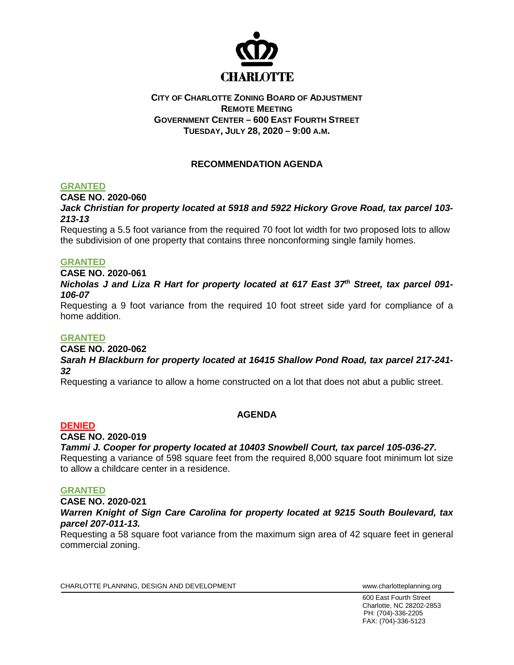

## **CITY OF CHARLOTTE ZONING BOARD OF ADJUSTMENT REMOTE MEETING GOVERNMENT CENTER – 600 EAST FOURTH STREET TUESDAY, JULY 28, 2020 – 9:00 A.M.**

# **RECOMMENDATION AGENDA**

### **GRANTED**

**CASE NO. 2020-060**

*Jack Christian for property located at 5918 and 5922 Hickory Grove Road, tax parcel 103- 213-13*

Requesting a 5.5 foot variance from the required 70 foot lot width for two proposed lots to allow the subdivision of one property that contains three nonconforming single family homes.

### **GRANTED**

**CASE NO. 2020-061** *Nicholas J and Liza R Hart for property located at 617 East 37th Street, tax parcel 091- 106-07*

Requesting a 9 foot variance from the required 10 foot street side yard for compliance of a home addition.

### **GRANTED**

**CASE NO. 2020-062** *Sarah H Blackburn for property located at 16415 Shallow Pond Road, tax parcel 217-241- 32*

Requesting a variance to allow a home constructed on a lot that does not abut a public street.

## **AGENDA**

### **DENIED**

**CASE NO. 2020-019**

*Tammi J. Cooper for property located at 10403 Snowbell Court, tax parcel 105-036-27.*

Requesting a variance of 598 square feet from the required 8,000 square foot minimum lot size to allow a childcare center in a residence.

### **GRANTED**

**CASE NO. 2020-021** *Warren Knight of Sign Care Carolina for property located at 9215 South Boulevard, tax parcel 207-011-13.* 

Requesting a 58 square foot variance from the maximum sign area of 42 square feet in general commercial zoning.

CHARLOTTE PLANNING, DESIGN AND DEVELOPMENT WWW.Charlotteplanning.org

600 East Fourth Street Charlotte, NC 28202-2853 PH: (704)-336-2205 FAX: (704)-336-5123